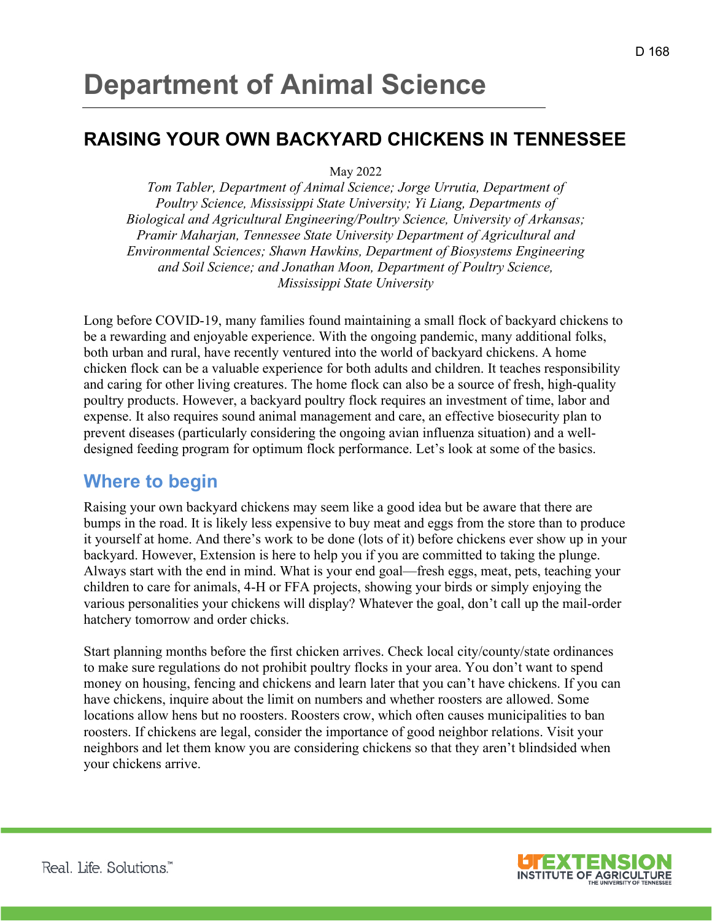# **Department of Animal Science**

#### **RAISING YOUR OWN BACKYARD CHICKENS IN TENNESSEE**

May 2022

*Tom Tabler, Department of Animal Science; Jorge Urrutia, Department of Poultry Science, Mississippi State University; Yi Liang, Departments of Biological and Agricultural Engineering/Poultry Science, University of Arkansas; Pramir Maharjan, Tennessee State University Department of Agricultural and Environmental Sciences; Shawn Hawkins, Department of Biosystems Engineering and Soil Science; and Jonathan Moon, Department of Poultry Science, Mississippi State University*

Long before COVID-19, many families found maintaining a small flock of backyard chickens to be a rewarding and enjoyable experience. With the ongoing pandemic, many additional folks, both urban and rural, have recently ventured into the world of backyard chickens. A home chicken flock can be a valuable experience for both adults and children. It teaches responsibility and caring for other living creatures. The home flock can also be a source of fresh, high-quality poultry products. However, a backyard poultry flock requires an investment of time, labor and expense. It also requires sound animal management and care, an effective biosecurity plan to prevent diseases (particularly considering the ongoing avian influenza situation) and a welldesigned feeding program for optimum flock performance. Let's look at some of the basics.

#### **Where to begin**

Raising your own backyard chickens may seem like a good idea but be aware that there are bumps in the road. It is likely less expensive to buy meat and eggs from the store than to produce it yourself at home. And there's work to be done (lots of it) before chickens ever show up in your backyard. However, Extension is here to help you if you are committed to taking the plunge. Always start with the end in mind. What is your end goal—fresh eggs, meat, pets, teaching your children to care for animals, 4-H or FFA projects, showing your birds or simply enjoying the various personalities your chickens will display? Whatever the goal, don't call up the mail-order hatchery tomorrow and order chicks.

Start planning months before the first chicken arrives. Check local city/county/state ordinances to make sure regulations do not prohibit poultry flocks in your area. You don't want to spend money on housing, fencing and chickens and learn later that you can't have chickens. If you can have chickens, inquire about the limit on numbers and whether roosters are allowed. Some locations allow hens but no roosters. Roosters crow, which often causes municipalities to ban roosters. If chickens are legal, consider the importance of good neighbor relations. Visit your neighbors and let them know you are considering chickens so that they aren't blindsided when your chickens arrive.

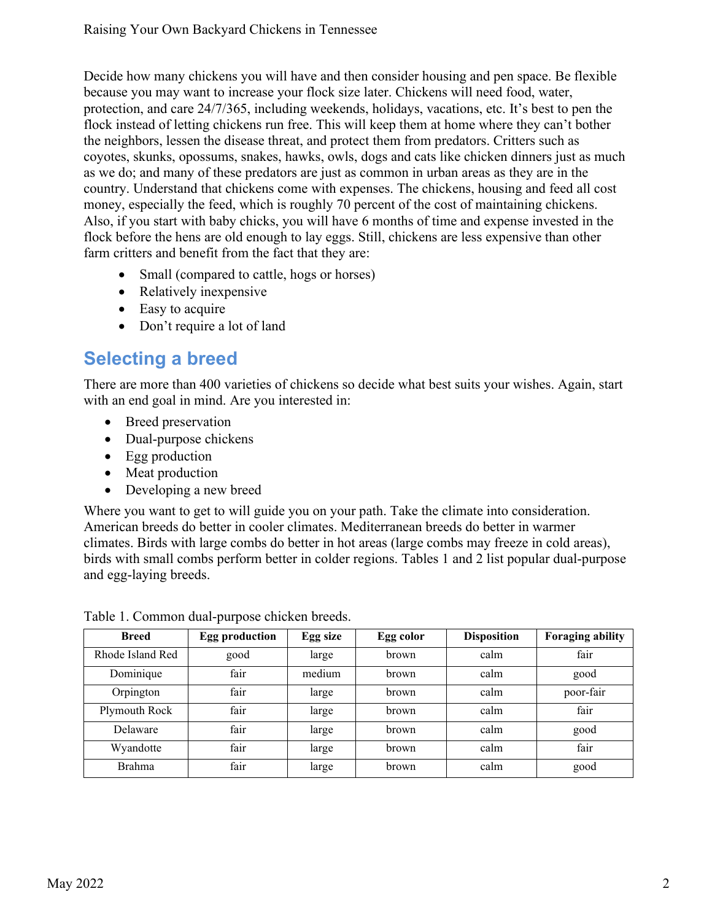Decide how many chickens you will have and then consider housing and pen space. Be flexible because you may want to increase your flock size later. Chickens will need food, water, protection, and care 24/7/365, including weekends, holidays, vacations, etc. It's best to pen the flock instead of letting chickens run free. This will keep them at home where they can't bother the neighbors, lessen the disease threat, and protect them from predators. Critters such as coyotes, skunks, opossums, snakes, hawks, owls, dogs and cats like chicken dinners just as much as we do; and many of these predators are just as common in urban areas as they are in the country. Understand that chickens come with expenses. The chickens, housing and feed all cost money, especially the feed, which is roughly 70 percent of the cost of maintaining chickens. Also, if you start with baby chicks, you will have 6 months of time and expense invested in the flock before the hens are old enough to lay eggs. Still, chickens are less expensive than other farm critters and benefit from the fact that they are:

- Small (compared to cattle, hogs or horses)
- Relatively inexpensive
- Easy to acquire
- Don't require a lot of land

## **Selecting a breed**

There are more than 400 varieties of chickens so decide what best suits your wishes. Again, start with an end goal in mind. Are you interested in:

- Breed preservation
- Dual-purpose chickens
- Egg production
- Meat production
- Developing a new breed

Where you want to get to will guide you on your path. Take the climate into consideration. American breeds do better in cooler climates. Mediterranean breeds do better in warmer climates. Birds with large combs do better in hot areas (large combs may freeze in cold areas), birds with small combs perform better in colder regions. Tables 1 and 2 list popular dual-purpose and egg-laying breeds.

| <b>Breed</b>     | <b>Egg production</b> | Egg size | Egg color | <b>Disposition</b> | <b>Foraging ability</b> |
|------------------|-----------------------|----------|-----------|--------------------|-------------------------|
| Rhode Island Red | good                  | large    | brown     | calm               | fair                    |
| Dominique        | fair                  | medium   | brown     | calm               | good                    |
| Orpington        | fair                  | large    | brown     | calm               | poor-fair               |
| Plymouth Rock    | fair                  | large    | brown     | calm               | fair                    |
| Delaware         | fair                  | large    | brown     | calm               | good                    |
| Wyandotte        | fair                  | large    | brown     | calm               | fair                    |
| Brahma           | fair                  | large    | brown     | calm               | good                    |

Table 1. Common dual-purpose chicken breeds.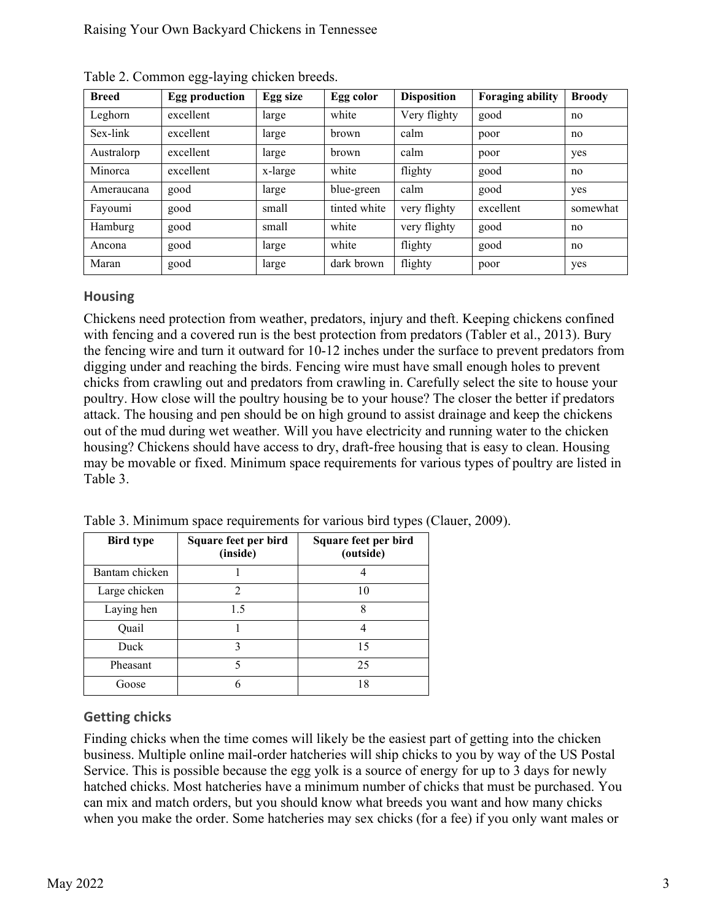| <b>Breed</b> | <b>Egg production</b> | Egg size | Egg color    | <b>Disposition</b> | <b>Foraging ability</b> | <b>Broody</b> |
|--------------|-----------------------|----------|--------------|--------------------|-------------------------|---------------|
| Leghorn      | excellent             | large    | white        | Very flighty       | good                    | no            |
| Sex-link     | excellent             | large    | brown        | calm               | poor                    | no            |
| Australorp   | excellent             | large    | brown        | calm               | poor                    | yes           |
| Minorca      | excellent             | x-large  | white        | flighty            | good                    | no            |
| Ameraucana   | good                  | large    | blue-green   | calm               | good                    | yes           |
| Fayoumi      | good                  | small    | tinted white | very flighty       | excellent               | somewhat      |
| Hamburg      | good                  | small    | white        | very flighty       | good                    | no            |
| Ancona       | good                  | large    | white        | flighty            | good                    | no            |
| Maran        | good                  | large    | dark brown   | flighty            | poor                    | yes           |

Table 2. Common egg-laying chicken breeds.

#### **Housing**

Chickens need protection from weather, predators, injury and theft. Keeping chickens confined with fencing and a covered run is the best protection from predators (Tabler et al., 2013). Bury the fencing wire and turn it outward for 10-12 inches under the surface to prevent predators from digging under and reaching the birds. Fencing wire must have small enough holes to prevent chicks from crawling out and predators from crawling in. Carefully select the site to house your poultry. How close will the poultry housing be to your house? The closer the better if predators attack. The housing and pen should be on high ground to assist drainage and keep the chickens out of the mud during wet weather. Will you have electricity and running water to the chicken housing? Chickens should have access to dry, draft-free housing that is easy to clean. Housing may be movable or fixed. Minimum space requirements for various types of poultry are listed in Table 3.

| <b>Bird type</b> | Square feet per bird<br>(inside) | Square feet per bird<br>(outside) |
|------------------|----------------------------------|-----------------------------------|
| Bantam chicken   |                                  |                                   |
| Large chicken    | 2                                | 10                                |
| Laying hen       | 1.5                              | 8                                 |
| Quail            |                                  |                                   |
| Duck             | 3                                | 15                                |
| Pheasant         | 5                                | 25                                |
| Goose            | 6                                | 18                                |

Table 3. Minimum space requirements for various bird types (Clauer, 2009).

#### **Getting chicks**

Finding chicks when the time comes will likely be the easiest part of getting into the chicken business. Multiple online mail-order hatcheries will ship chicks to you by way of the US Postal Service. This is possible because the egg yolk is a source of energy for up to 3 days for newly hatched chicks. Most hatcheries have a minimum number of chicks that must be purchased. You can mix and match orders, but you should know what breeds you want and how many chicks when you make the order. Some hatcheries may sex chicks (for a fee) if you only want males or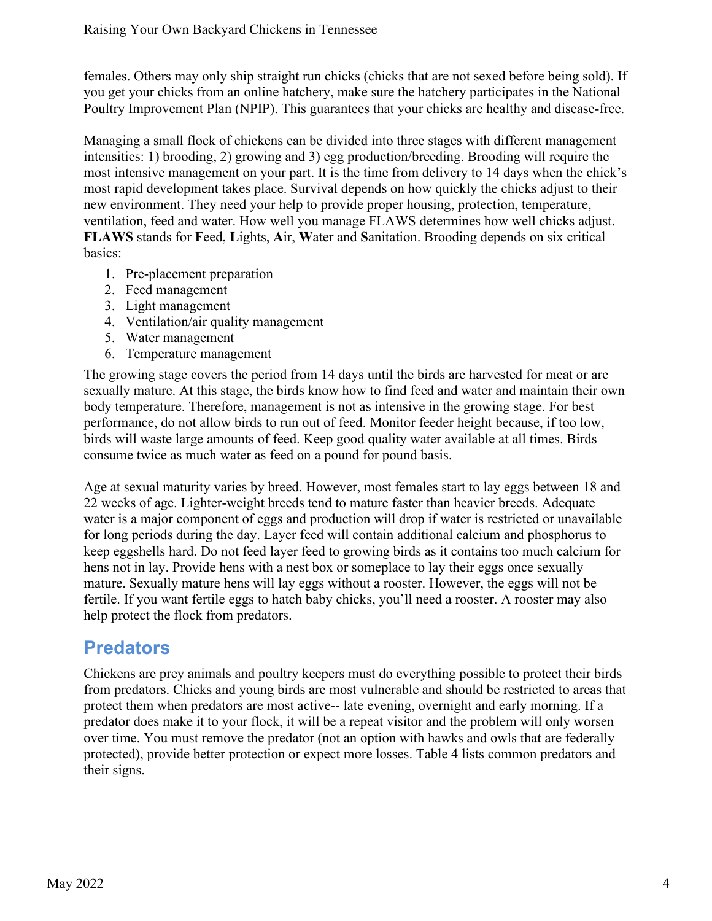females. Others may only ship straight run chicks (chicks that are not sexed before being sold). If you get your chicks from an online hatchery, make sure the hatchery participates in the National Poultry Improvement Plan (NPIP). This guarantees that your chicks are healthy and disease-free.

Managing a small flock of chickens can be divided into three stages with different management intensities: 1) brooding, 2) growing and 3) egg production/breeding. Brooding will require the most intensive management on your part. It is the time from delivery to 14 days when the chick's most rapid development takes place. Survival depends on how quickly the chicks adjust to their new environment. They need your help to provide proper housing, protection, temperature, ventilation, feed and water. How well you manage FLAWS determines how well chicks adjust. **FLAWS** stands for **F**eed, **L**ights, **A**ir, **W**ater and **S**anitation. Brooding depends on six critical basics:

- 1. Pre-placement preparation
- 2. Feed management
- 3. Light management
- 4. Ventilation/air quality management
- 5. Water management
- 6. Temperature management

The growing stage covers the period from 14 days until the birds are harvested for meat or are sexually mature. At this stage, the birds know how to find feed and water and maintain their own body temperature. Therefore, management is not as intensive in the growing stage. For best performance, do not allow birds to run out of feed. Monitor feeder height because, if too low, birds will waste large amounts of feed. Keep good quality water available at all times. Birds consume twice as much water as feed on a pound for pound basis.

Age at sexual maturity varies by breed. However, most females start to lay eggs between 18 and 22 weeks of age. Lighter-weight breeds tend to mature faster than heavier breeds. Adequate water is a major component of eggs and production will drop if water is restricted or unavailable for long periods during the day. Layer feed will contain additional calcium and phosphorus to keep eggshells hard. Do not feed layer feed to growing birds as it contains too much calcium for hens not in lay. Provide hens with a nest box or someplace to lay their eggs once sexually mature. Sexually mature hens will lay eggs without a rooster. However, the eggs will not be fertile. If you want fertile eggs to hatch baby chicks, you'll need a rooster. A rooster may also help protect the flock from predators.

#### **Predators**

Chickens are prey animals and poultry keepers must do everything possible to protect their birds from predators. Chicks and young birds are most vulnerable and should be restricted to areas that protect them when predators are most active-- late evening, overnight and early morning. If a predator does make it to your flock, it will be a repeat visitor and the problem will only worsen over time. You must remove the predator (not an option with hawks and owls that are federally protected), provide better protection or expect more losses. Table 4 lists common predators and their signs.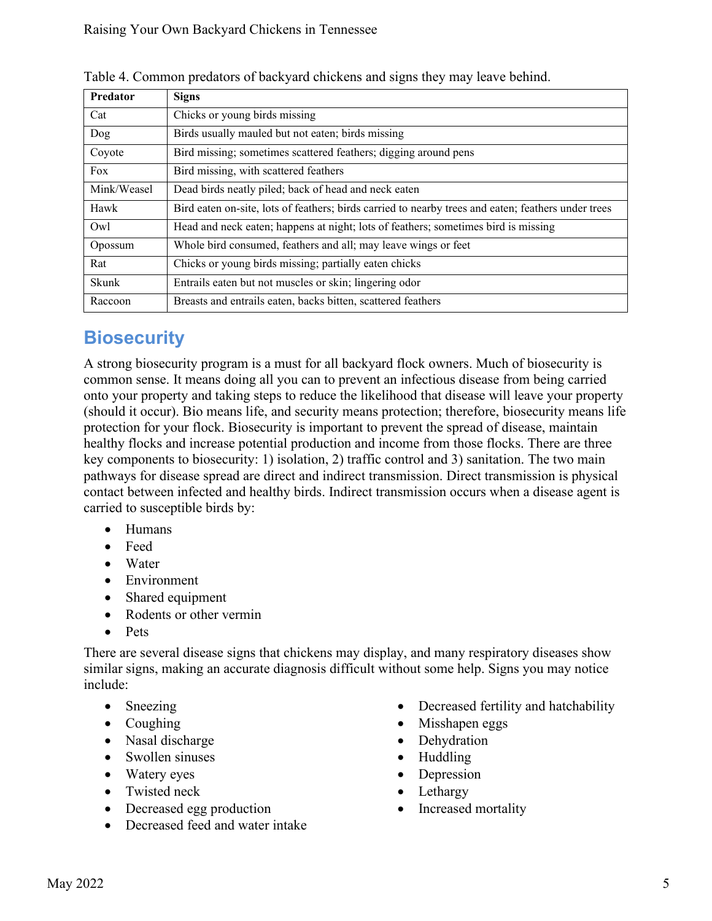| Predator    | <b>Signs</b>                                                                                        |
|-------------|-----------------------------------------------------------------------------------------------------|
| Cat         | Chicks or young birds missing                                                                       |
| Dog         | Birds usually mauled but not eaten; birds missing                                                   |
| Coyote      | Bird missing; sometimes scattered feathers; digging around pens                                     |
| Fox         | Bird missing, with scattered feathers                                                               |
| Mink/Weasel | Dead birds neatly piled; back of head and neck eaten                                                |
| Hawk        | Bird eaten on-site, lots of feathers; birds carried to nearby trees and eaten; feathers under trees |
| Owl         | Head and neck eaten; happens at night; lots of feathers; sometimes bird is missing                  |
| Opossum     | Whole bird consumed, feathers and all; may leave wings or feet                                      |
| Rat         | Chicks or young birds missing; partially eaten chicks                                               |
| Skunk       | Entrails eaten but not muscles or skin; lingering odor                                              |
| Raccoon     | Breasts and entrails eaten, backs bitten, scattered feathers                                        |

Table 4. Common predators of backyard chickens and signs they may leave behind.

## **Biosecurity**

A strong biosecurity program is a must for all backyard flock owners. Much of biosecurity is common sense. It means doing all you can to prevent an infectious disease from being carried onto your property and taking steps to reduce the likelihood that disease will leave your property (should it occur). Bio means life, and security means protection; therefore, biosecurity means life protection for your flock. Biosecurity is important to prevent the spread of disease, maintain healthy flocks and increase potential production and income from those flocks. There are three key components to biosecurity: 1) isolation, 2) traffic control and 3) sanitation. The two main pathways for disease spread are direct and indirect transmission. Direct transmission is physical contact between infected and healthy birds. Indirect transmission occurs when a disease agent is carried to susceptible birds by:

- Humans
- Feed
- Water
- Environment
- Shared equipment
- Rodents or other vermin
- Pets

There are several disease signs that chickens may display, and many respiratory diseases show similar signs, making an accurate diagnosis difficult without some help. Signs you may notice include:

- Sneezing
- Coughing
- Nasal discharge
- Swollen sinuses
- Watery eyes
- Twisted neck
- Decreased egg production
- Decreased feed and water intake
- Decreased fertility and hatchability
- Misshapen eggs
- **Dehydration**
- Huddling
- Depression
- Lethargy
- Increased mortality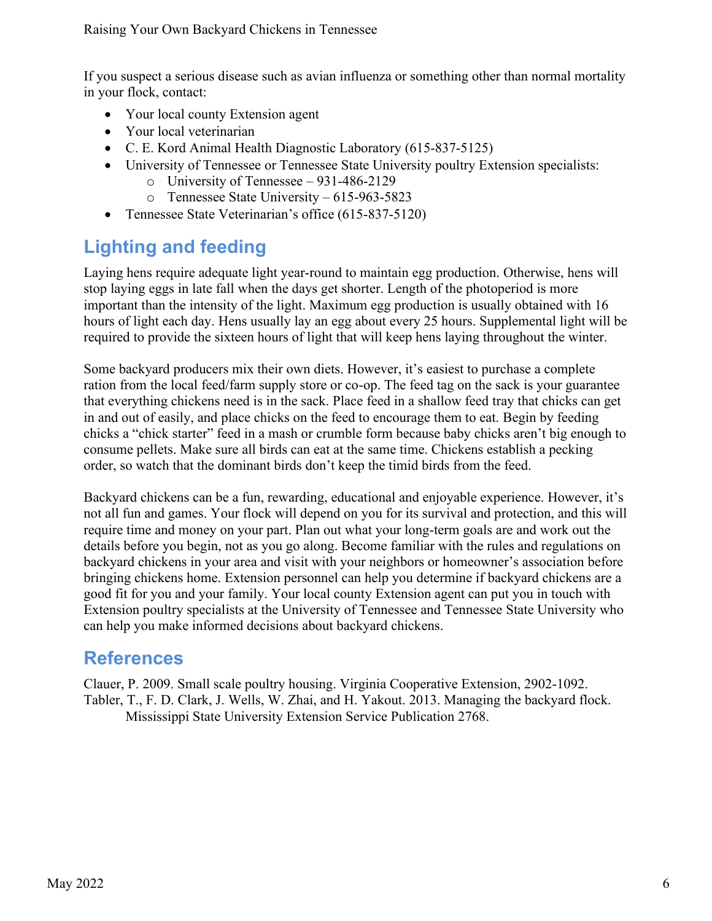If you suspect a serious disease such as avian influenza or something other than normal mortality in your flock, contact:

- Your local county Extension agent
- Your local veterinarian
- C. E. Kord Animal Health Diagnostic Laboratory (615-837-5125)
- University of Tennessee or Tennessee State University poultry Extension specialists:
	- o University of Tennessee 931-486-2129
	- o Tennessee State University 615-963-5823
- Tennessee State Veterinarian's office (615-837-5120)

## **Lighting and feeding**

Laying hens require adequate light year-round to maintain egg production. Otherwise, hens will stop laying eggs in late fall when the days get shorter. Length of the photoperiod is more important than the intensity of the light. Maximum egg production is usually obtained with 16 hours of light each day. Hens usually lay an egg about every 25 hours. Supplemental light will be required to provide the sixteen hours of light that will keep hens laying throughout the winter.

Some backyard producers mix their own diets. However, it's easiest to purchase a complete ration from the local feed/farm supply store or co-op. The feed tag on the sack is your guarantee that everything chickens need is in the sack. Place feed in a shallow feed tray that chicks can get in and out of easily, and place chicks on the feed to encourage them to eat. Begin by feeding chicks a "chick starter" feed in a mash or crumble form because baby chicks aren't big enough to consume pellets. Make sure all birds can eat at the same time. Chickens establish a pecking order, so watch that the dominant birds don't keep the timid birds from the feed.

Backyard chickens can be a fun, rewarding, educational and enjoyable experience. However, it's not all fun and games. Your flock will depend on you for its survival and protection, and this will require time and money on your part. Plan out what your long-term goals are and work out the details before you begin, not as you go along. Become familiar with the rules and regulations on backyard chickens in your area and visit with your neighbors or homeowner's association before bringing chickens home. Extension personnel can help you determine if backyard chickens are a good fit for you and your family. Your local county Extension agent can put you in touch with Extension poultry specialists at the University of Tennessee and Tennessee State University who can help you make informed decisions about backyard chickens.

## **References**

Clauer, P. 2009. Small scale poultry housing. Virginia Cooperative Extension, 2902-1092. Tabler, T., F. D. Clark, J. Wells, W. Zhai, and H. Yakout. 2013. Managing the backyard flock. Mississippi State University Extension Service Publication 2768.